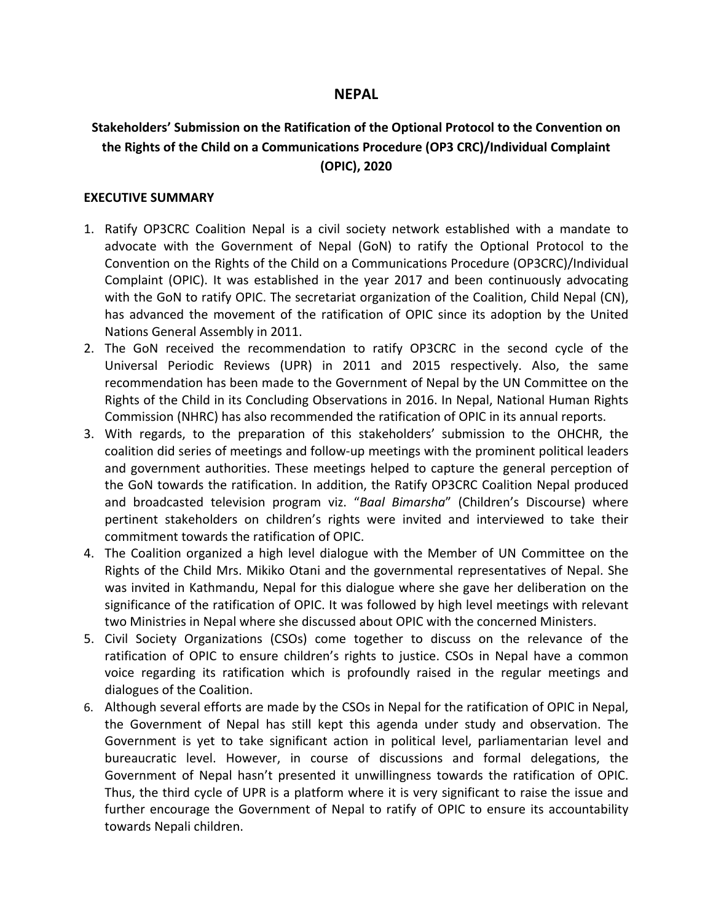# **NEPAL**

# **Stakeholders' Submission on the Ratification of the Optional Protocol to the Convention on the Rights of the Child on <sup>a</sup> Communications Procedure (OP3 CRC)/Individual Complaint (OPIC), 2020**

#### **EXECUTIVE SUMMARY**

- 1. Ratify OP3CRC Coalition Nepal is <sup>a</sup> civil society network established with <sup>a</sup> mandate to advocate with the Government of Nepal (GoN) to ratify the Optional Protocol to the Convention on the Rights of the Child on <sup>a</sup> Communications Procedure (OP3CRC)/Individual Complaint (OPIC). It was established in the year 2017 and been continuously advocating with the GoN to ratify OPIC. The secretariat organization of the Coalition, Child Nepal (CN), has advanced the movement of the ratification of OPIC since its adoption by the United Nations General Assembly in 2011.
- 2. The GoN received the recommendation to ratify OP3CRC in the second cycle of the Universal Periodic Reviews (UPR) in 2011 and 2015 respectively. Also, the same recommendation has been made to the Government of Nepal by the UN Committee on the Rights of the Child in its Concluding Observations in 2016. In Nepal, National Human Rights Commission (NHRC) has also recommended the ratification of OPIC in its annual reports.
- 3. With regards, to the preparation of this stakeholders' submission to the OHCHR, the coalition did series of meetings and follow-up meetings with the prominent political leaders and government authorities. These meetings helped to capture the general perception of the GoN towards the ratification. In addition, the Ratify OP3CRC Coalition Nepal produced and broadcasted television program viz. "*Baal Bimarsha*" (Children'<sup>s</sup> Discourse) where pertinent stakeholders on children'<sup>s</sup> rights were invited and interviewed to take their commitment towards the ratification of OPIC.
- 4. The Coalition organized <sup>a</sup> high level dialogue with the Member of UN Committee on the Rights of the Child Mrs. Mikiko Otani and the governmental representatives of Nepal. She was invited in Kathmandu, Nepal for this dialogue where she gave her deliberation on the significance of the ratification of OPIC. It was followed by high level meetings with relevant two Ministries in Nepal where she discussed about OPIC with the concerned Ministers.
- 5. Civil Society Organizations (CSOs) come together to discuss on the relevance of the ratification of OPIC to ensure children'<sup>s</sup> rights to justice. CSOs in Nepal have <sup>a</sup> common voice regarding its ratification which is profoundly raised in the regular meetings and dialogues of the Coalition.
- 6. Although several efforts are made by the CSOs in Nepal for the ratification of OPIC in Nepal, the Government of Nepal has still kept this agenda under study and observation. The Government is yet to take significant action in political level, parliamentarian level and bureaucratic level. However, in course of discussions and formal delegations, the Government of Nepal hasn'<sup>t</sup> presented it unwillingness towards the ratification of OPIC. Thus, the third cycle of UPR is <sup>a</sup> platform where it is very significant to raise the issue and further encourage the Government of Nepal to ratify of OPIC to ensure its accountability towards Nepali children.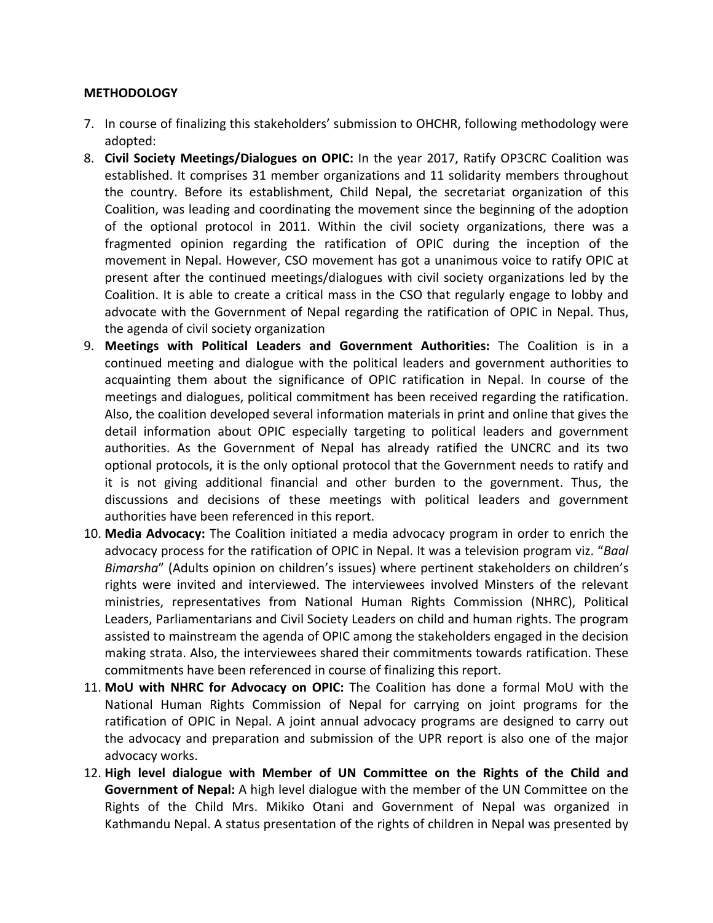### **METHODOLOGY**

- 7. In course of finalizing this stakeholders' submission to OHCHR, following methodology were adopted:
- 8. **Civil Society Meetings/Dialogues on OPIC:** In the year 2017, Ratify OP3CRC Coalition was established. It comprises 31 member organizations and 11 solidarity members throughout the country. Before its establishment, Child Nepal, the secretariat organization of this Coalition, was leading and coordinating the movement since the beginning of the adoption of the optional protocol in 2011. Within the civil society organizations, there was <sup>a</sup> fragmented opinion regarding the ratification of OPIC during the inception of the movement in Nepal. However, CSO movement has got <sup>a</sup> unanimous voice to ratify OPIC at present after the continued meetings/dialogues with civil society organizations led by the Coalition. It is able to create <sup>a</sup> critical mass in the CSO that regularly engage to lobby and advocate with the Government of Nepal regarding the ratification of OPIC in Nepal. Thus, the agenda of civil society organization
- 9. **Meetings with Political Leaders and Government Authorities:** The Coalition is in <sup>a</sup> continued meeting and dialogue with the political leaders and government authorities to acquainting them about the significance of OPIC ratification in Nepal. In course of the meetings and dialogues, political commitment has been received regarding the ratification. Also, the coalition developed several information materials in print and online that gives the detail information about OPIC especially targeting to political leaders and government authorities. As the Government of Nepal has already ratified the UNCRC and its two optional protocols, it is the only optional protocol that the Government needs to ratify and it is not giving additional financial and other burden to the government. Thus, the discussions and decisions of these meetings with political leaders and government authorities have been referenced in this report.
- 10. **Media Advocacy:** The Coalition initiated <sup>a</sup> media advocacy program in order to enrich the advocacy process for the ratification of OPIC in Nepal. It was <sup>a</sup> television program viz. "*Baal Bimarsha*" (Adults opinion on children'<sup>s</sup> issues) where pertinent stakeholders on children'<sup>s</sup> rights were invited and interviewed. The interviewees involved Minsters of the relevant ministries, representatives from National Human Rights Commission (NHRC), Political Leaders, Parliamentarians and Civil Society Leaders on child and human rights. The program assisted to mainstream the agenda of OPIC among the stakeholders engaged in the decision making strata. Also, the interviewees shared their commitments towards ratification. These commitments have been referenced in course of finalizing this report.
- 11. **MoU with NHRC for Advocacy on OPIC:** The Coalition has done <sup>a</sup> formal MoU with the National Human Rights Commission of Nepal for carrying on joint programs for the ratification of OPIC in Nepal. A joint annual advocacy programs are designed to carry out the advocacy and preparation and submission of the UPR report is also one of the major advocacy works.
- 12. **High level dialogue with Member of UN Committee on the Rights of the Child and Government of Nepal:** A high level dialogue with the member of the UN Committee on the Rights of the Child Mrs. Mikiko Otani and Government of Nepal was organized in Kathmandu Nepal. A status presentation of the rights of children in Nepal was presented by